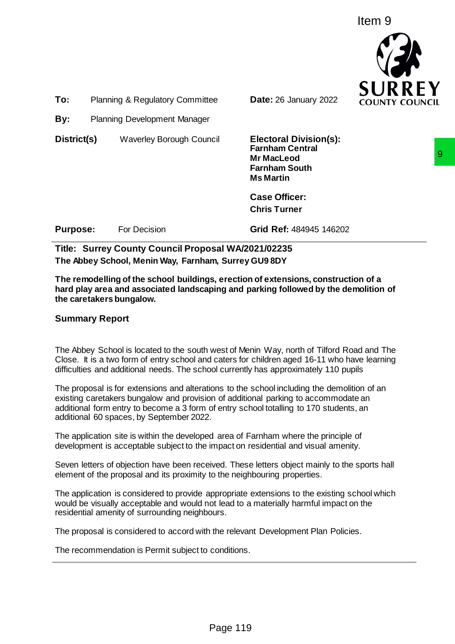Item 9



**To:** Planning & Regulatory Committee **Date:** 26 January 2022

**By:** Planning Development Manager

**District(s)**Waverley Borough Council **Electoral Division(s):**

**Farnham Central Mr MacLeod Farnham South Ms Martin**

**Case Officer: Chris Turner**

**Purpose:** For Decision **Grid Ref**: 484945 146202

**Title: Surrey County Council Proposal WA/2021/02235 The Abbey School, Menin Way, Farnham, Surrey GU9 8DY**

**The remodelling of the school buildings, erection of extensions, construction of a hard play area and associated landscaping and parking followed by the demolition of the caretakers bungalow.**

# **Summary Report**

The Abbey School is located to the south west of Menin Way, north of Tilford Road and The Close. It is a two form of entry school and caters for children aged 16-11 who have learning difficulties and additional needs. The school currently has approximately 110 pupils

The proposal is for extensions and alterations to the school including the demolition of an existing caretakers bungalow and provision of additional parking to accommodate an additional form entry to become a 3 form of entry school totalling to 170 students, an additional 60 spaces, by September 2022. Mr MacLeod<br>
Farnham South<br>
Ms Martin<br>
Ms Martin<br>
Case Officer:<br>
Chris Turner<br>
Grid Ref: 484945 146202<br>
Sas, erection of extensions, construction of a<br>
specifical WA/2021/02235<br>
m, Surety GU9 8DY<br>
Specifical Ref: 484945 146

The application site is within the developed area of Farnham where the principle of development is acceptable subject to the impact on residential and visual amenity.

Seven letters of objection have been received. These letters object mainly to the sports hall element of the proposal and its proximity to the neighbouring properties.

The application is considered to provide appropriate extensions to the existing school which would be visually acceptable and would not lead to a materially harmful impact on the residential amenity of surrounding neighbours.

The proposal is considered to accord with the relevant Development Plan Policies.

The recommendation is Permit subject to conditions.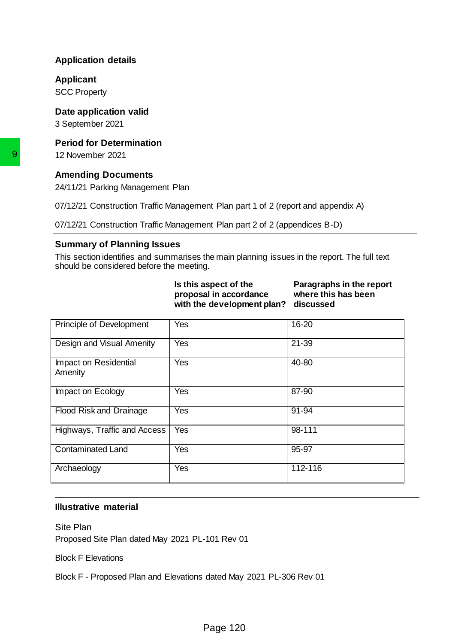# **Application details**

#### **Applicant**

SCC Property

### **Date application valid**

3 September 2021

## **Period for Determination**

## **Amending Documents**

## **Summary of Planning Issues**

| Is this aspect of the                | Paragraphs in the report |
|--------------------------------------|--------------------------|
| proposal in accordance               | where this has been      |
| with the development plan? discussed |                          |

|                                                                               | 07/12/21 Construction Traffic Management Plan part 1 of 2 (report and appendix A)            |                                                              |
|-------------------------------------------------------------------------------|----------------------------------------------------------------------------------------------|--------------------------------------------------------------|
|                                                                               |                                                                                              |                                                              |
|                                                                               | 07/12/21 Construction Traffic Management Plan part 2 of 2 (appendices B-D)                   |                                                              |
| <b>Summary of Planning Issues</b><br>should be considered before the meeting. | This section identifies and summarises the main planning issues in the report. The full text |                                                              |
|                                                                               | Is this aspect of the<br>proposal in accordance<br>with the development plan?                | Paragraphs in the report<br>where this has been<br>discussed |
| Principle of Development                                                      | Yes                                                                                          | 16-20                                                        |
| Design and Visual Amenity                                                     | Yes                                                                                          | $21 - 39$                                                    |
| Impact on Residential<br>Amenity                                              | Yes                                                                                          | 40-80                                                        |
| Impact on Ecology                                                             | Yes                                                                                          | 87-90                                                        |
| Flood Risk and Drainage                                                       | Yes                                                                                          | 91-94                                                        |
| Highways, Traffic and Access                                                  | Yes                                                                                          | 98-111                                                       |
| <b>Contaminated Land</b>                                                      | Yes                                                                                          | 95-97                                                        |
| Archaeology                                                                   | Yes                                                                                          | 112-116                                                      |
|                                                                               |                                                                                              |                                                              |
| <b>Illustrative material</b>                                                  |                                                                                              |                                                              |
| <b>Site Plan</b><br>Proposed Site Plan dated May 2021 PL-101 Rev 01           |                                                                                              |                                                              |
| <b>Block F Elevations</b>                                                     |                                                                                              |                                                              |
|                                                                               | Block F - Proposed Plan and Elevations dated May 2021 PL-306 Rev 01                          |                                                              |

### **Illustrative material**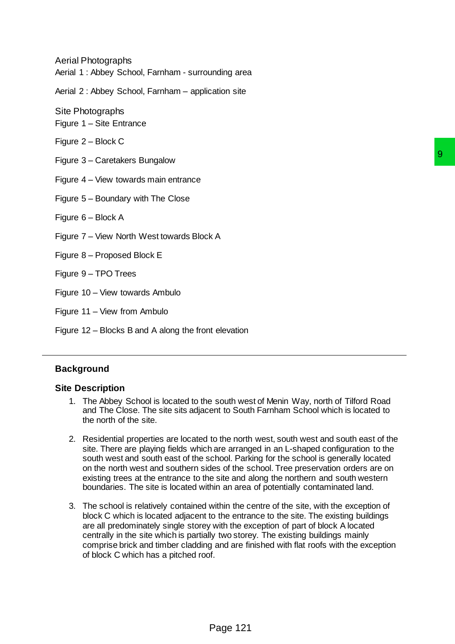Aerial Photographs Aerial 1 : Abbey School, Farnham - surrounding area

Aerial 2 : Abbey School, Farnham – application site

Site Photographs

Figure 1 – Site Entrance

Figure 2 – Block C

Figure 3 – Caretakers Bungalow

Figure 4 – View towards main entrance

Figure 5 – Boundary with The Close

Figure 6 – Block A

Figure 7 – View North West towards Block A

Figure 8 – Proposed Block E

Figure 9 – TPO Trees

Figure 10 – View towards Ambulo

Figure 11 – View from Ambulo

Figure 12 – Blocks B and A along the front elevation

### **Background**

#### **Site Description**

- 1. The Abbey School is located to the south west of Menin Way, north of Tilford Road and The Close. The site sits adjacent to South Farnham School which is located to the north of the site.
- 2. Residential properties are located to the north west, south west and south east of the site. There are playing fields which are arranged in an L-shaped configuration to the south west and south east of the school. Parking for the school is generally located on the north west and southern sides of the school. Tree preservation orders are on existing trees at the entrance to the site and along the northern and south western boundaries. The site is located within an area of potentially contaminated land.
- 3. The school is relatively contained within the centre of the site, with the exception of block C which is located adjacent to the entrance to the site. The existing buildings are all predominately single storey with the exception of part of block A located centrally in the site which is partially two storey. The existing buildings mainly comprise brick and timber cladding and are finished with flat roofs with the exception of block C which has a pitched roof. south west of Menin Way, north of Tilford Road<br>ent to South Farnham School which is located to<br>to the north west, south west and south east of the<br>nare arranged in an L-shaped configuration to the<br>chool. Parking for the sc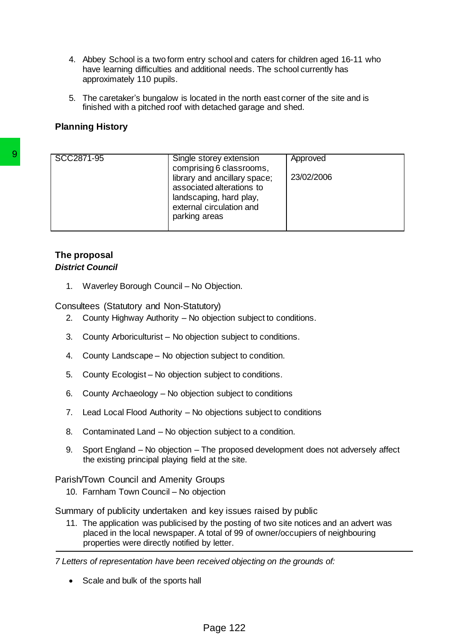- 4. Abbey School is a two form entry school and caters for children aged 16-11 who have learning difficulties and additional needs. The school currently has approximately 110 pupils.
- 5. The caretaker's bungalow is located in the north east corner of the site and is finished with a pitched roof with detached garage and shed.

## **Planning History**

| SCC2871-95                                     | Single storey extension<br>comprising 6 classrooms,<br>library and ancillary space;<br>associated alterations to<br>landscaping, hard play,<br>external circulation and<br>parking areas                                   | Approved<br>23/02/2006 |  |
|------------------------------------------------|----------------------------------------------------------------------------------------------------------------------------------------------------------------------------------------------------------------------------|------------------------|--|
| The proposal<br><b>District Council</b>        |                                                                                                                                                                                                                            |                        |  |
| 1.                                             | Waverley Borough Council - No Objection.                                                                                                                                                                                   |                        |  |
| Consultees (Statutory and Non-Statutory)<br>2. | County Highway Authority – No objection subject to conditions.                                                                                                                                                             |                        |  |
| 3.                                             | County Arboriculturist - No objection subject to conditions.                                                                                                                                                               |                        |  |
| 4.                                             | County Landscape - No objection subject to condition.                                                                                                                                                                      |                        |  |
| 5.                                             | County Ecologist - No objection subject to conditions.                                                                                                                                                                     |                        |  |
| 6.                                             | County Archaeology - No objection subject to conditions                                                                                                                                                                    |                        |  |
| 7.                                             | Lead Local Flood Authority - No objections subject to conditions                                                                                                                                                           |                        |  |
| 8.                                             | Contaminated Land – No objection subject to a condition.                                                                                                                                                                   |                        |  |
| 9.                                             | Sport England – No objection – The proposed development does not adversely affect<br>the existing principal playing field at the site.                                                                                     |                        |  |
| Parish/Town Council and Amenity Groups         |                                                                                                                                                                                                                            |                        |  |
| 10. Farnham Town Council - No objection        |                                                                                                                                                                                                                            |                        |  |
|                                                | Summary of publicity undertaken and key issues raised by public                                                                                                                                                            |                        |  |
|                                                | 11. The application was publicised by the posting of two site notices and an advert was<br>placed in the local newspaper. A total of 99 of owner/occupiers of neighbouring<br>properties were directly notified by letter. |                        |  |
|                                                | 7 Letters of representation have been received objecting on the grounds of:                                                                                                                                                |                        |  |
| Scale and bulk of the sports hall              |                                                                                                                                                                                                                            |                        |  |
|                                                |                                                                                                                                                                                                                            |                        |  |
|                                                | Page 122                                                                                                                                                                                                                   |                        |  |

## **The proposal** *District Council*

- 2. County Highway Authority No objection subject to conditions.
- 3. County Arboriculturist No objection subject to conditions.
- 4. County Landscape No objection subject to condition.
- 5. County Ecologist No objection subject to conditions.
- 6. County Archaeology No objection subject to conditions
- 7. Lead Local Flood Authority No objections subject to conditions
- 8. Contaminated Land No objection subject to a condition.
- 9. Sport England No objection The proposed development does not adversely affect the existing principal playing field at the site.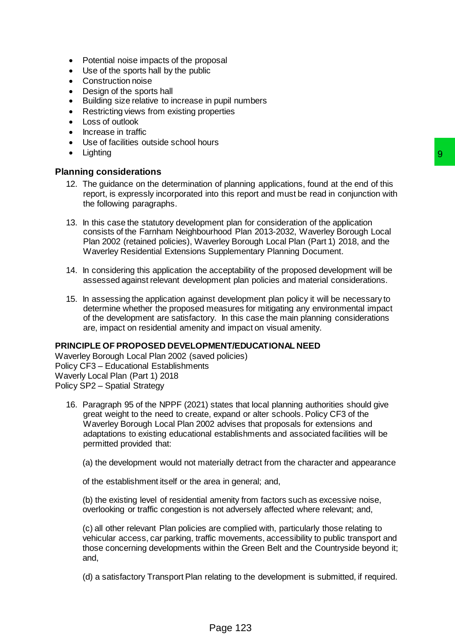- Potential noise impacts of the proposal
- Use of the sports hall by the public
- Construction noise
- Design of the sports hall
- Building size relative to increase in pupil numbers
- Restricting views from existing properties
- Loss of outlook
- Increase in traffic
- Use of facilities outside school hours
- **Lighting**

### **Planning considerations**

- 12. The guidance on the determination of planning applications, found at the end of this report, is expressly incorporated into this report and must be read in conjunction with the following paragraphs.
- 13. In this case the statutory development plan for consideration of the application consists of the Farnham Neighbourhood Plan 2013-2032, Waverley Borough Local Plan 2002 (retained policies), Waverley Borough Local Plan (Part 1) 2018, and the Waverley Residential Extensions Supplementary Planning Document.
- 14. In considering this application the acceptability of the proposed development will be assessed against relevant development plan policies and material considerations.
- 15. In assessing the application against development plan policy it will be necessary to determine whether the proposed measures for mitigating any environmental impact of the development are satisfactory. In this case the main planning considerations are, impact on residential amenity and impact on visual amenity.

#### **PRINCIPLE OF PROPOSED DEVELOPMENT/EDUCATIONAL NEED**

Waverley Borough Local Plan 2002 (saved policies) Policy CF3 – Educational Establishments Waverly Local Plan (Part 1) 2018 Policy SP2 – Spatial Strategy

- 16. Paragraph 95 of the NPPF (2021) states that local planning authorities should give great weight to the need to create, expand or alter schools. Policy CF3 of the Waverley Borough Local Plan 2002 advises that proposals for extensions and adaptations to existing educational establishments and associated facilities will be permitted provided that: 9<br>
and planning applications, found at the end of this<br>
hot his report and must be read in conjunction with<br>
nent plan for consideration of the application<br>
triviod Plan 2013-2032, Waverley Borough Local<br>
Supplementary Pla
	- (a) the development would not materially detract from the character and appearance

of the establishment itself or the area in general; and,

(b) the existing level of residential amenity from factors such as excessive noise, overlooking or traffic congestion is not adversely affected where relevant; and,

(c) all other relevant Plan policies are complied with, particularly those relating to vehicular access, car parking, traffic movements, accessibility to public transport and those concerning developments within the Green Belt and the Countryside beyond it; and,

(d) a satisfactory Transport Plan relating to the development is submitted, if required.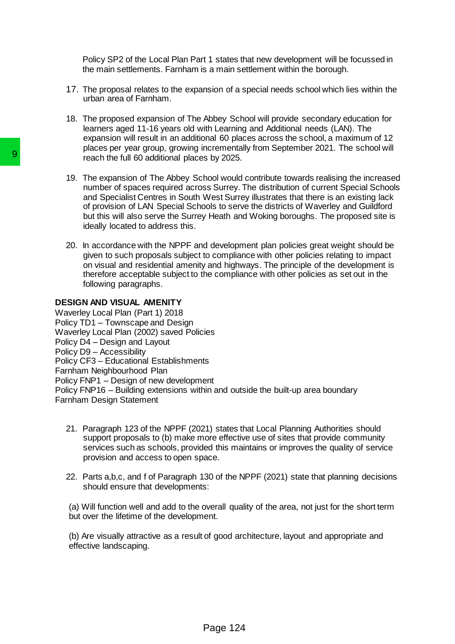Policy SP2 of the Local Plan Part 1 states that new development will be focussed in the main settlements. Farnham is a main settlement within the borough.

- 17. The proposal relates to the expansion of a special needs school which lies within the urban area of Farnham.
- 18. The proposed expansion of The Abbey School will provide secondary education for learners aged 11-16 years old with Learning and Additional needs (LAN). The expansion will result in an additional 60 places across the school, a maximum of 12 places per year group, growing incrementally from September 2021. The school will reach the full 60 additional places by 2025.
- 19. The expansion of The Abbey School would contribute towards realising the increased number of spaces required across Surrey. The distribution of current Special Schools and Specialist Centres in South West Surrey illustrates that there is an existing lack of provision of LAN Special Schools to serve the districts of Waverley and Guildford but this will also serve the Surrey Heath and Woking boroughs. The proposed site is ideally located to address this.
- 20. In accordance with the NPPF and development plan policies great weight should be given to such proposals subject to compliance with other policies relating to impact on visual and residential amenity and highways. The principle of the development is therefore acceptable subject to the compliance with other policies as set out in the following paragraphs.

#### **DESIGN AND VISUAL AMENITY**

Waverley Local Plan (Part 1) 2018 Policy TD1 – Townscape and Design Waverley Local Plan (2002) saved Policies Policy D4 – Design and Layout Policy D9 – Accessibility Policy CF3 – Educational Establishments Farnham Neighbourhood Plan Policy FNP1 – Design of new development Policy FNP16 – Building extensions within and outside the built-up area boundary Farnham Design Statement Fractrice full 60 additional places by 2025.<br>
19. The expansion of The Abbey School would<br>
number of spaces required across Surrey.<br>
19. The expansion of The Abbey School would<br>
number of spacials Centres in South West Sur

- 21. Paragraph 123 of the NPPF (2021) states that Local Planning Authorities should support proposals to (b) make more effective use of sites that provide community services such as schools, provided this maintains or improves the quality of service provision and access to open space.
- 22. Parts a,b,c, and f of Paragraph 130 of the NPPF (2021) state that planning decisions should ensure that developments:

(a) Will function well and add to the overall quality of the area, not just for the short term but over the lifetime of the development.

(b) Are visually attractive as a result of good architecture, layout and appropriate and effective landscaping.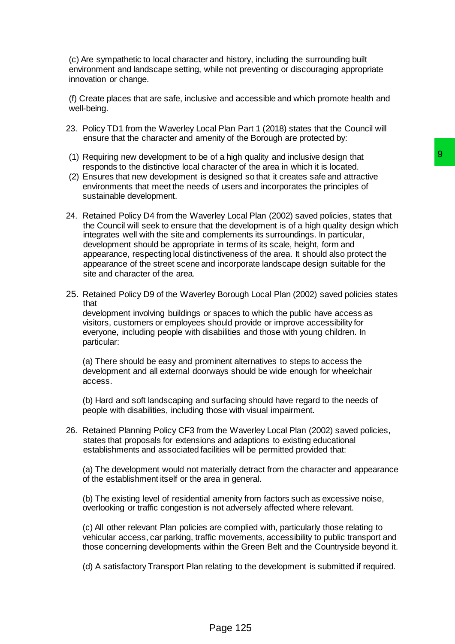(c) Are sympathetic to local character and history, including the surrounding built environment and landscape setting, while not preventing or discouraging appropriate innovation or change.

(f) Create places that are safe, inclusive and accessible and which promote health and well-being.

- 23. Policy TD1 from the Waverley Local Plan Part 1 (2018) states that the Council will ensure that the character and amenity of the Borough are protected by:
- (1) Requiring new development to be of a high quality and inclusive design that responds to the distinctive local character of the area in which it is located.
- (2) Ensures that new development is designed so that it creates safe and attractive environments that meet the needs of users and incorporates the principles of sustainable development.
- 24. Retained Policy D4 from the Waverley Local Plan (2002) saved policies, states that the Council will seek to ensure that the development is of a high quality design which integrates well with the site and complements its surroundings. In particular, development should be appropriate in terms of its scale, height, form and appearance, respecting local distinctiveness of the area. It should also protect the appearance of the street scene and incorporate landscape design suitable for the site and character of the area. of a high quality and inclusive design that<br>areacter of the area in which it is located.<br>designed so that it creates safe and attractive<br>of disers and incorporates the principles of<br>they Local Plan (2002) saved policies, s
- 25. Retained Policy D9 of the Waverley Borough Local Plan (2002) saved policies states that development involving buildings or spaces to which the public have access as visitors, customers or employees should provide or improve accessibility for everyone, including people with disabilities and those with young children. In particular:

(a) There should be easy and prominent alternatives to steps to access the development and all external doorways should be wide enough for wheelchair access.

(b) Hard and soft landscaping and surfacing should have regard to the needs of people with disabilities, including those with visual impairment.

26. Retained Planning Policy CF3 from the Waverley Local Plan (2002) saved policies, states that proposals for extensions and adaptions to existing educational establishments and associated facilities will be permitted provided that:

(a) The development would not materially detract from the character and appearance of the establishment itself or the area in general.

(b) The existing level of residential amenity from factors such as excessive noise, overlooking or traffic congestion is not adversely affected where relevant.

(c) All other relevant Plan policies are complied with, particularly those relating to vehicular access, car parking, traffic movements, accessibility to public transport and those concerning developments within the Green Belt and the Countryside beyond it.

(d) A satisfactory Transport Plan relating to the development is submitted if required.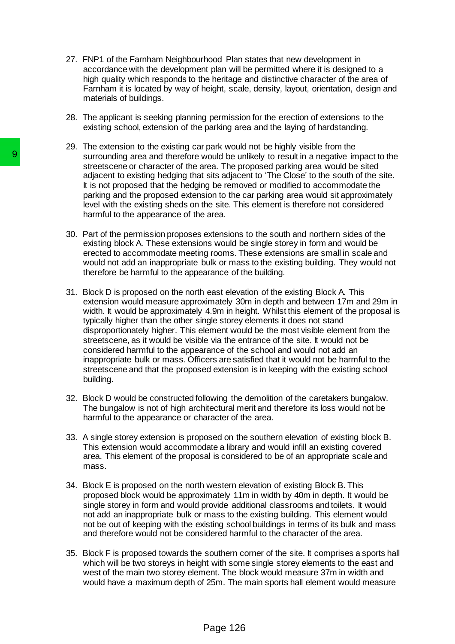- 27. FNP1 of the Farnham Neighbourhood Plan states that new development in accordance with the development plan will be permitted where it is designed to a high quality which responds to the heritage and distinctive character of the area of Farnham it is located by way of height, scale, density, layout, orientation, design and materials of buildings.
- 28. The applicant is seeking planning permission for the erection of extensions to the existing school, extension of the parking area and the laying of hardstanding.
- 29. The extension to the existing car park would not be highly visible from the surrounding area and therefore would be unlikely to result in a negative impact to the streetscene or character of the area. The proposed parking area would be sited adjacent to existing hedging that sits adjacent to 'The Close' to the south of the site. It is not proposed that the hedging be removed or modified to accommodate the parking and the proposed extension to the car parking area would sit approximately level with the existing sheds on the site. This element is therefore not considered harmful to the appearance of the area.
- 30. Part of the permission proposes extensions to the south and northern sides of the existing block A. These extensions would be single storey in form and would be erected to accommodate meeting rooms. These extensions are small in scale and would not add an inappropriate bulk or mass to the existing building. They would not therefore be harmful to the appearance of the building.
- 31. Block D is proposed on the north east elevation of the existing Block A. This extension would measure approximately 30m in depth and between 17m and 29m in width. It would be approximately 4.9m in height. Whilst this element of the proposal is typically higher than the other single storey elements it does not stand disproportionately higher. This element would be the most visible element from the streetscene, as it would be visible via the entrance of the site. It would not be considered harmful to the appearance of the school and would not add an inappropriate bulk or mass. Officers are satisfied that it would not be harmful to the streetscene and that the proposed extension is in keeping with the existing school building. **Solution** area and therefore would be under<br>streetscene or character of the area. The present to existing hedging that sits adjace<br>it is not proposed that the hedging be removed by the level beat the inclusion<br>and the pro
	- 32. Block D would be constructed following the demolition of the caretakers bungalow. The bungalow is not of high architectural merit and therefore its loss would not be harmful to the appearance or character of the area.
	- 33. A single storey extension is proposed on the southern elevation of existing block B. This extension would accommodate a library and would infill an existing covered area. This element of the proposal is considered to be of an appropriate scale and mass.
	- 34. Block E is proposed on the north western elevation of existing Block B. This proposed block would be approximately 11m in width by 40m in depth. It would be single storey in form and would provide additional classrooms and toilets. It would not add an inappropriate bulk or mass to the existing building. This element would not be out of keeping with the existing school buildings in terms of its bulk and mass and therefore would not be considered harmful to the character of the area.
	- 35. Block F is proposed towards the southern corner of the site. It comprises a sports hall which will be two storeys in height with some single storey elements to the east and west of the main two storey element. The block would measure 37m in width and would have a maximum depth of 25m. The main sports hall element would measure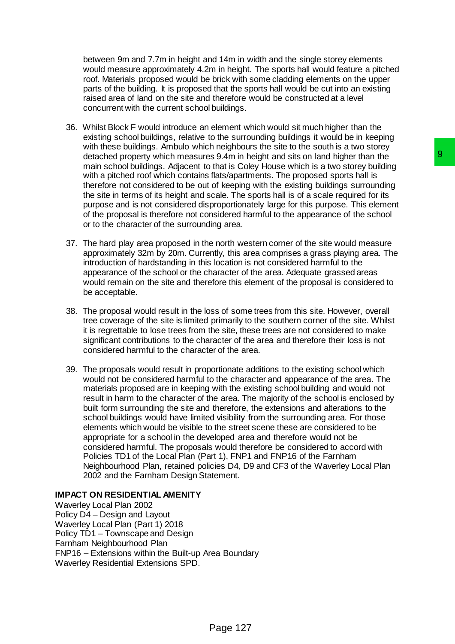between 9m and 7.7m in height and 14m in width and the single storey elements would measure approximately 4.2m in height. The sports hall would feature a pitched roof. Materials proposed would be brick with some cladding elements on the upper parts of the building. It is proposed that the sports hall would be cut into an existing raised area of land on the site and therefore would be constructed at a level concurrent with the current school buildings.

- 36. Whilst Block F would introduce an element which would sit much higher than the existing school buildings, relative to the surrounding buildings it would be in keeping with these buildings. Ambulo which neighbours the site to the south is a two storey detached property which measures 9.4m in height and sits on land higher than the main school buildings. Adjacent to that is Coley House which is a two storey building with a pitched roof which contains flats/apartments. The proposed sports hall is therefore not considered to be out of keeping with the existing buildings surrounding the site in terms of its height and scale. The sports hall is of a scale required for its purpose and is not considered disproportionately large for this purpose. This element of the proposal is therefore not considered harmful to the appearance of the school or to the character of the surrounding area.
- 37. The hard play area proposed in the north western corner of the site would measure approximately 32m by 20m. Currently, this area comprises a grass playing area. The introduction of hardstanding in this location is not considered harmful to the appearance of the school or the character of the area. Adequate grassed areas would remain on the site and therefore this element of the proposal is considered to be acceptable.
- 38. The proposal would result in the loss of some trees from this site. However, overall tree coverage of the site is limited primarily to the southern corner of the site. Whilst it is regrettable to lose trees from the site, these trees are not considered to make significant contributions to the character of the area and therefore their loss is not considered harmful to the character of the area.
- 39. The proposals would result in proportionate additions to the existing school which would not be considered harmful to the character and appearance of the area. The materials proposed are in keeping with the existing school building and would not result in harm to the character of the area. The majority of the school is enclosed by built form surrounding the site and therefore, the extensions and alterations to the school buildings would have limited visibility from the surrounding area. For those elements which would be visible to the street scene these are considered to be appropriate for a school in the developed area and therefore would not be considered harmful. The proposals would therefore be considered to accord with Policies TD1 of the Local Plan (Part 1), FNP1 and FNP16 of the Farnham Neighbourhood Plan, retained policies D4, D9 and CF3 of the Waverley Local Plan 2002 and the Farnham Design Statement. s 9.4m in height and slits on land higher than this coley House which is a hwo storey building<br>that is Coley House which is a hwo storey building<br>flats/apartments. The proposed sports hall is id<br>and the emply with the exis

### **IMPACT ON RESIDENTIAL AMENITY**

Waverley Local Plan 2002 Policy D4 – Design and Layout Waverley Local Plan (Part 1) 2018 Policy TD1 – Townscape and Design Farnham Neighbourhood Plan FNP16 – Extensions within the Built-up Area Boundary Waverley Residential Extensions SPD.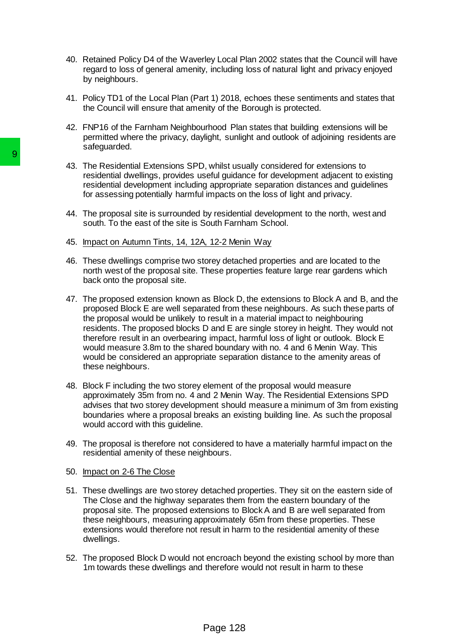- 40. Retained Policy D4 of the Waverley Local Plan 2002 states that the Council will have regard to loss of general amenity, including loss of natural light and privacy enjoyed by neighbours.
- 41. Policy TD1 of the Local Plan (Part 1) 2018, echoes these sentiments and states that the Council will ensure that amenity of the Borough is protected.
- 42. FNP16 of the Farnham Neighbourhood Plan states that building extensions will be permitted where the privacy, daylight, sunlight and outlook of adjoining residents are safeguarded.
- 43. The Residential Extensions SPD, whilst usually considered for extensions to residential dwellings, provides useful guidance for development adjacent to existing residential development including appropriate separation distances and guidelines for assessing potentially harmful impacts on the loss of light and privacy.
- 44. The proposal site is surrounded by residential development to the north, west and south. To the east of the site is South Farnham School.
- 45. Impact on Autumn Tints, 14, 12A, 12-2 Menin Way
- 46. These dwellings comprise two storey detached properties and are located to the north west of the proposal site. These properties feature large rear gardens which back onto the proposal site.
- 47. The proposed extension known as Block D, the extensions to Block A and B, and the proposed Block E are well separated from these neighbours. As such these parts of the proposal would be unlikely to result in a material impact to neighbouring residents. The proposed blocks D and E are single storey in height. They would not therefore result in an overbearing impact, harmful loss of light or outlook. Block E would measure 3.8m to the shared boundary with no. 4 and 6 Menin Way. This would be considered an appropriate separation distance to the amenity areas of these neighbours. 9<br>
43. The Residential Extensions SPD, whilst usu<br>
residential dwellings, provides useful guidar<br>
residential dwellings, provides useful guidar<br>
residential development including appropriate<br>
for assessing potentially harm
	- 48. Block F including the two storey element of the proposal would measure approximately 35m from no. 4 and 2 Menin Way. The Residential Extensions SPD advises that two storey development should measure a minimum of 3m from existing boundaries where a proposal breaks an existing building line. As such the proposal would accord with this guideline.
	- 49. The proposal is therefore not considered to have a materially harmful impact on the residential amenity of these neighbours.
	- 50. Impact on 2-6 The Close
	- 51. These dwellings are two storey detached properties. They sit on the eastern side of The Close and the highway separates them from the eastern boundary of the proposal site. The proposed extensions to Block A and B are well separated from these neighbours, measuring approximately 65m from these properties. These extensions would therefore not result in harm to the residential amenity of these dwellings.
	- 52. The proposed Block D would not encroach beyond the existing school by more than 1m towards these dwellings and therefore would not result in harm to these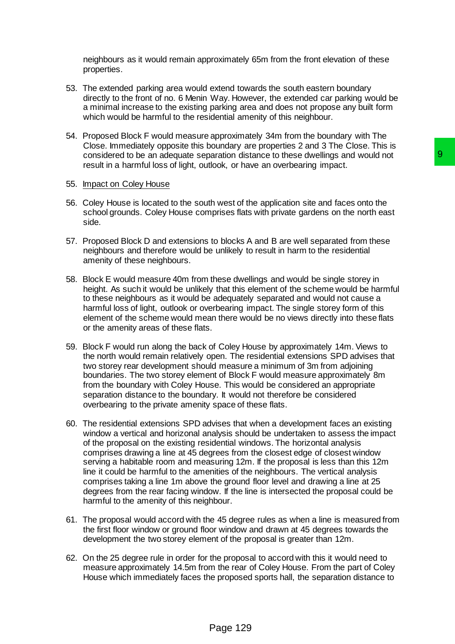neighbours as it would remain approximately 65m from the front elevation of these properties.

- 53. The extended parking area would extend towards the south eastern boundary directly to the front of no. 6 Menin Way. However, the extended car parking would be a minimal increase to the existing parking area and does not propose any built form which would be harmful to the residential amenity of this neighbour.
- 54. Proposed Block F would measure approximately 34m from the boundary with The Close. Immediately opposite this boundary are properties 2 and 3 The Close. This is considered to be an adequate separation distance to these dwellings and would not result in a harmful loss of light, outlook, or have an overbearing impact.

#### 55. Impact on Coley House

- 56. Coley House is located to the south west of the application site and faces onto the school grounds. Coley House comprises flats with private gardens on the north east side.
- 57. Proposed Block D and extensions to blocks A and B are well separated from these neighbours and therefore would be unlikely to result in harm to the residential amenity of these neighbours.
- 58. Block E would measure 40m from these dwellings and would be single storey in height. As such it would be unlikely that this element of the scheme would be harmful to these neighbours as it would be adequately separated and would not cause a harmful loss of light, outlook or overbearing impact. The single storey form of this element of the scheme would mean there would be no views directly into these flats or the amenity areas of these flats.
- 59. Block F would run along the back of Coley House by approximately 14m. Views to the north would remain relatively open. The residential extensions SPD advises that two storey rear development should measure a minimum of 3m from adjoining boundaries. The two storey element of Block F would measure approximately 8m from the boundary with Coley House. This would be considered an appropriate separation distance to the boundary. It would not therefore be considered overbearing to the private amenity space of these flats.
- 60. The residential extensions SPD advises that when a development faces an existing window a vertical and horizonal analysis should be undertaken to assess the impact of the proposal on the existing residential windows. The horizontal analysis comprises drawing a line at 45 degrees from the closest edge of closest window serving a habitable room and measuring 12m. If the proposal is less than this 12m line it could be harmful to the amenities of the neighbours. The vertical analysis comprises taking a line 1m above the ground floor level and drawing a line at 25 degrees from the rear facing window. If the line is intersected the proposal could be harmful to the amenity of this neighbour. aration distance to these dwellings and would not<br>
9<br>
Notok, or have an overbearing impact.<br>
th west of the application site and faces onto the<br>
prises flats with private gardens on the north east<br>
to blocks A and B are we
- 61. The proposal would accord with the 45 degree rules as when a line is measured from the first floor window or ground floor window and drawn at 45 degrees towards the development the two storey element of the proposal is greater than 12m.
- 62. On the 25 degree rule in order for the proposal to accord with this it would need to measure approximately 14.5m from the rear of Coley House. From the part of Coley House which immediately faces the proposed sports hall, the separation distance to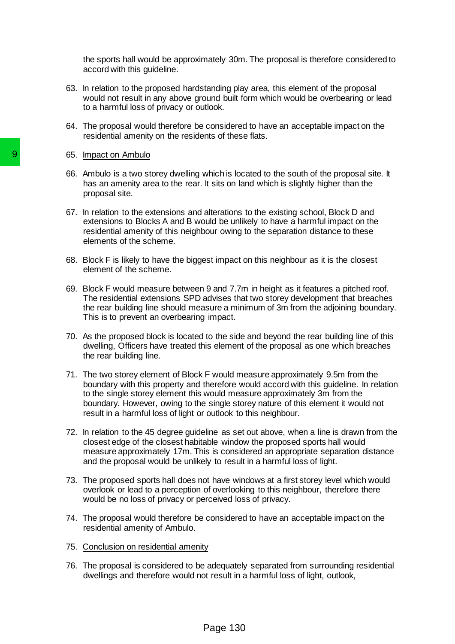the sports hall would be approximately 30m. The proposal is therefore considered to accord with this guideline.

- 63. In relation to the proposed hardstanding play area, this element of the proposal would not result in any above ground built form which would be overbearing or lead to a harmful loss of privacy or outlook.
- 64. The proposal would therefore be considered to have an acceptable impact on the residential amenity on the residents of these flats.
- 65. Impact on Ambulo
- 66. Ambulo is a two storey dwelling which is located to the south of the proposal site. It has an amenity area to the rear. It sits on land which is slightly higher than the proposal site.
- 67. In relation to the extensions and alterations to the existing school, Block D and extensions to Blocks A and B would be unlikely to have a harmful impact on the residential amenity of this neighbour owing to the separation distance to these elements of the scheme.
- 68. Block F is likely to have the biggest impact on this neighbour as it is the closest element of the scheme.
- 69. Block F would measure between 9 and 7.7m in height as it features a pitched roof. The residential extensions SPD advises that two storey development that breaches the rear building line should measure a minimum of 3m from the adjoining boundary. This is to prevent an overbearing impact.
- 70. As the proposed block is located to the side and beyond the rear building line of this dwelling, Officers have treated this element of the proposal as one which breaches the rear building line.
- 71. The two storey element of Block F would measure approximately 9.5m from the boundary with this property and therefore would accord with this guideline. In relation to the single storey element this would measure approximately 3m from the boundary. However, owing to the single storey nature of this element it would not result in a harmful loss of light or outlook to this neighbour. 9<br>
8. Impact on Ambulo<br>
8. Ambulo is a two storey dwelling which is loc ambulo is an amonity area to the rear. It sits on la<br>
proposal site.<br>
87. In relation to the extensions and alterations<br>
existesions to Blocks A and B
	- 72. In relation to the 45 degree guideline as set out above, when a line is drawn from the closest edge of the closest habitable window the proposed sports hall would measure approximately 17m. This is considered an appropriate separation distance and the proposal would be unlikely to result in a harmful loss of light.
	- 73. The proposed sports hall does not have windows at a first storey level which would overlook or lead to a perception of overlooking to this neighbour, therefore there would be no loss of privacy or perceived loss of privacy.
	- 74. The proposal would therefore be considered to have an acceptable impact on the residential amenity of Ambulo.
	- 75. Conclusion on residential amenity
	- 76. The proposal is considered to be adequately separated from surrounding residential dwellings and therefore would not result in a harmful loss of light, outlook,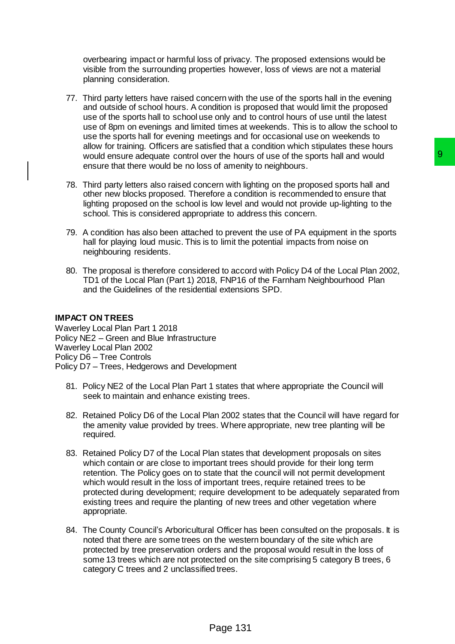overbearing impact or harmful loss of privacy. The proposed extensions would be visible from the surrounding properties however, loss of views are not a material planning consideration.

- 77. Third party letters have raised concern with the use of the sports hall in the evening and outside of school hours. A condition is proposed that would limit the proposed use of the sports hall to school use only and to control hours of use until the latest use of 8pm on evenings and limited times at weekends. This is to allow the school to use the sports hall for evening meetings and for occasional use on weekends to allow for training. Officers are satisfied that a condition which stipulates these hours would ensure adequate control over the hours of use of the sports hall and would ensure that there would be no loss of amenity to neighbours.
- 78. Third party letters also raised concern with lighting on the proposed sports hall and other new blocks proposed. Therefore a condition is recommended to ensure that lighting proposed on the school is low level and would not provide up-lighting to the school. This is considered appropriate to address this concern.
- 79. A condition has also been attached to prevent the use of PA equipment in the sports hall for playing loud music. This is to limit the potential impacts from noise on neighbouring residents.
- 80. The proposal is therefore considered to accord with Policy D4 of the Local Plan 2002, TD1 of the Local Plan (Part 1) 2018, FNP16 of the Farnham Neighbourhood Plan and the Guidelines of the residential extensions SPD.

### **IMPACT ON TREES**

Waverley Local Plan Part 1 2018 Policy NE2 – Green and Blue Infrastructure Waverley Local Plan 2002 Policy D6 – Tree Controls Policy D7 – Trees, Hedgerows and Development

- 81. Policy NE2 of the Local Plan Part 1 states that where appropriate the Council will seek to maintain and enhance existing trees.
- 82. Retained Policy D6 of the Local Plan 2002 states that the Council will have regard for the amenity value provided by trees. Where appropriate, new tree planting will be required.
- 83. Retained Policy D7 of the Local Plan states that development proposals on sites which contain or are close to important trees should provide for their long term retention. The Policy goes on to state that the council will not permit development which would result in the loss of important trees, require retained trees to be protected during development; require development to be adequately separated from existing trees and require the planting of new trees and other vegetation where appropriate. er the hours of use of the sports hall and would<br>of a membry to neighbous.<br>So f amently to neighbous.<br>Then with lighting on the proposed sports hall and<br>ofore a condition is recommended to ensure that<br>hour level and would
- 84. The County Council's Arboricultural Officer has been consulted on the proposals. It is noted that there are some trees on the western boundary of the site which are protected by tree preservation orders and the proposal would result in the loss of some 13 trees which are not protected on the site comprising 5 category B trees, 6 category C trees and 2 unclassified trees.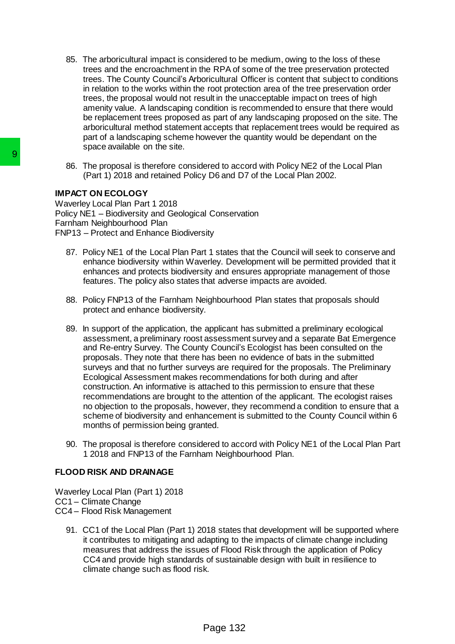- 85. The arboricultural impact is considered to be medium, owing to the loss of these trees and the encroachment in the RPA of some of the tree preservation protected trees. The County Council's Arboricultural Officer is content that subject to conditions in relation to the works within the root protection area of the tree preservation order trees, the proposal would not result in the unacceptable impact on trees of high amenity value. A landscaping condition is recommended to ensure that there would be replacement trees proposed as part of any landscaping proposed on the site. The arboricultural method statement accepts that replacement trees would be required as part of a landscaping scheme however the quantity would be dependant on the space available on the site.
- 86. The proposal is therefore considered to accord with Policy NE2 of the Local Plan (Part 1) 2018 and retained Policy D6 and D7 of the Local Plan 2002.

### **IMPACT ON ECOLOGY**

Waverley Local Plan Part 1 2018 Policy NE1 – Biodiversity and Geological Conservation Farnham Neighbourhood Plan FNP13 – Protect and Enhance Biodiversity

- 87. Policy NE1 of the Local Plan Part 1 states that the Council will seek to conserve and enhance biodiversity within Waverley. Development will be permitted provided that it enhances and protects biodiversity and ensures appropriate management of those features. The policy also states that adverse impacts are avoided.
- 88. Policy FNP13 of the Farnham Neighbourhood Plan states that proposals should protect and enhance biodiversity.
- 89. In support of the application, the applicant has submitted a preliminary ecological assessment, a preliminary roost assessment survey and a separate Bat Emergence and Re-entry Survey. The County Council's Ecologist has been consulted on the proposals. They note that there has been no evidence of bats in the submitted surveys and that no further surveys are required for the proposals. The Preliminary Ecological Assessment makes recommendations for both during and after construction. An informative is attached to this permission to ensure that these recommendations are brought to the attention of the applicant. The ecologist raises no objection to the proposals, however, they recommend a condition to ensure that a scheme of biodiversity and enhancement is submitted to the County Council within 6 months of permission being granted. 86. The proposal is therefore considered to acc<br>
(Part 1) 2018 and retained Policy D6 and D<br>
IMPACT ON ECOLOGY<br>
Waverley Local Plan Part 1 2018<br>
Policy NE1 – Biodiversity and Geological Conserva<br>
Famham Neighboutmodd Plan<br>
	- 90. The proposal is therefore considered to accord with Policy NE1 of the Local Plan Part 1 2018 and FNP13 of the Farnham Neighbourhood Plan.

### **FLOOD RISK AND DRAINAGE**

Waverley Local Plan (Part 1) 2018 CC1 – Climate Change CC4 – Flood Risk Management

91. CC1 of the Local Plan (Part 1) 2018 states that development will be supported where it contributes to mitigating and adapting to the impacts of climate change including measures that address the issues of Flood Risk through the application of Policy CC4 and provide high standards of sustainable design with built in resilience to climate change such as flood risk.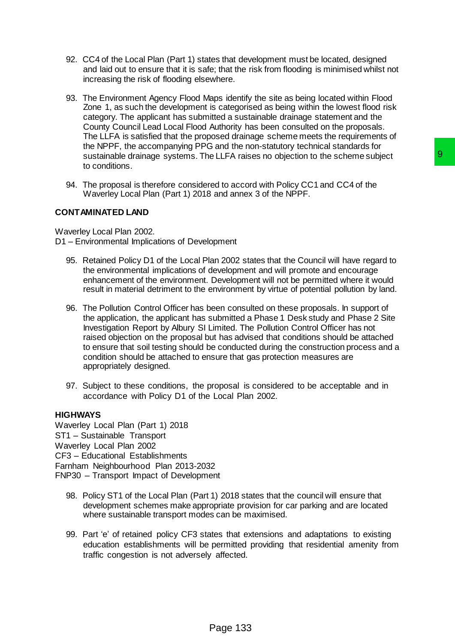- 92. CC4 of the Local Plan (Part 1) states that development must be located, designed and laid out to ensure that it is safe; that the risk from flooding is minimised whilst not increasing the risk of flooding elsewhere.
- 93. The Environment Agency Flood Maps identify the site as being located within Flood Zone 1, as such the development is categorised as being within the lowest flood risk category. The applicant has submitted a sustainable drainage statement and the County Council Lead Local Flood Authority has been consulted on the proposals. The LLFA is satisfied that the proposed drainage scheme meets the requirements of the NPPF, the accompanying PPG and the non-statutory technical standards for sustainable drainage systems. The LLFA raises no objection to the scheme subject to conditions.
- 94. The proposal is therefore considered to accord with Policy CC1 and CC4 of the Waverley Local Plan (Part 1) 2018 and annex 3 of the NPPF.

### **CONTAMINATED LAND**

Waverley Local Plan 2002. D1 – Environmental Implications of Development

- 95. Retained Policy D1 of the Local Plan 2002 states that the Council will have regard to the environmental implications of development and will promote and encourage enhancement of the environment. Development will not be permitted where it would result in material detriment to the environment by virtue of potential pollution by land.
- 96. The Pollution Control Officer has been consulted on these proposals. In support of the application, the applicant has submitted a Phase 1 Desk study and Phase 2 Site Investigation Report by Albury SI Limited. The Pollution Control Officer has not raised objection on the proposal but has advised that conditions should be attached to ensure that soil testing should be conducted during the construction process and a condition should be attached to ensure that gas protection measures are appropriately designed. e LLFA raises no objection to the scheme subject<br>red to accord with Policy CC1 and CC4 of the<br>and annex 3 of the NPPF.<br>popment<br>an 2002 states that the Council will have regard to<br>development and will promote and encourage<br>
- 97. Subject to these conditions, the proposal is considered to be acceptable and in accordance with Policy D1 of the Local Plan 2002.

### **HIGHWAYS**

Waverley Local Plan (Part 1) 2018 ST1 – Sustainable Transport Waverley Local Plan 2002 CF3 – Educational Establishments Farnham Neighbourhood Plan 2013-2032 FNP30 – Transport Impact of Development

- 98. Policy ST1 of the Local Plan (Part 1) 2018 states that the council will ensure that development schemes make appropriate provision for car parking and are located where sustainable transport modes can be maximised.
- 99. Part 'e' of retained policy CF3 states that extensions and adaptations to existing education establishments will be permitted providing that residential amenity from traffic congestion is not adversely affected.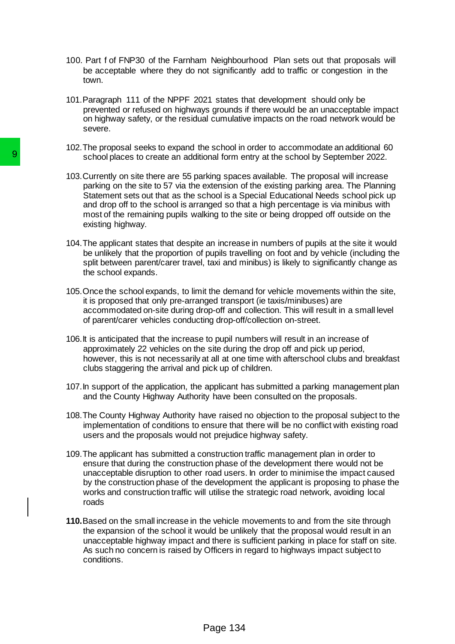- 100. Part f of FNP30 of the Farnham Neighbourhood Plan sets out that proposals will be acceptable where they do not significantly add to traffic or congestion in the town.
- 101.Paragraph 111 of the NPPF 2021 states that development should only be prevented or refused on highways grounds if there would be an unacceptable impact on highway safety, or the residual cumulative impacts on the road network would be severe.
- 102.The proposal seeks to expand the school in order to accommodate an additional 60 school places to create an additional form entry at the school by September 2022.
- 103.Currently on site there are 55 parking spaces available. The proposal will increase parking on the site to 57 via the extension of the existing parking area. The Planning Statement sets out that as the school is a Special Educational Needs school pick up and drop off to the school is arranged so that a high percentage is via minibus with most of the remaining pupils walking to the site or being dropped off outside on the existing highway.
- 104.The applicant states that despite an increase in numbers of pupils at the site it would be unlikely that the proportion of pupils travelling on foot and by vehicle (including the split between parent/carer travel, taxi and minibus) is likely to significantly change as the school expands.
- 105.Once the school expands, to limit the demand for vehicle movements within the site, it is proposed that only pre-arranged transport (ie taxis/minibuses) are accommodated on-site during drop-off and collection. This will result in a small level of parent/carer vehicles conducting drop-off/collection on-street.
- 106.It is anticipated that the increase to pupil numbers will result in an increase of approximately 22 vehicles on the site during the drop off and pick up period, however, this is not necessarily at all at one time with afterschool clubs and breakfast clubs staggering the arrival and pick up of children.
- 107.In support of the application, the applicant has submitted a parking management plan and the County Highway Authority have been consulted on the proposals.
- 108.The County Highway Authority have raised no objection to the proposal subject to the implementation of conditions to ensure that there will be no conflict with existing road users and the proposals would not prejudice highway safety.
- 109.The applicant has submitted a construction traffic management plan in order to ensure that during the construction phase of the development there would not be unacceptable disruption to other road users. In order to minimise the impact caused by the construction phase of the development the applicant is proposing to phase the works and construction traffic will utilise the strategic road network, avoiding local roads School places to create an additional form entation of the site of 57 via the extension on the site of the of the School is a Cardial Statement sets out that as the school is a Cardial Statement sets out that as the school
	- **110.**Based on the small increase in the vehicle movements to and from the site through the expansion of the school it would be unlikely that the proposal would result in an unacceptable highway impact and there is sufficient parking in place for staff on site. As such no concern is raised by Officers in regard to highways impact subject to conditions.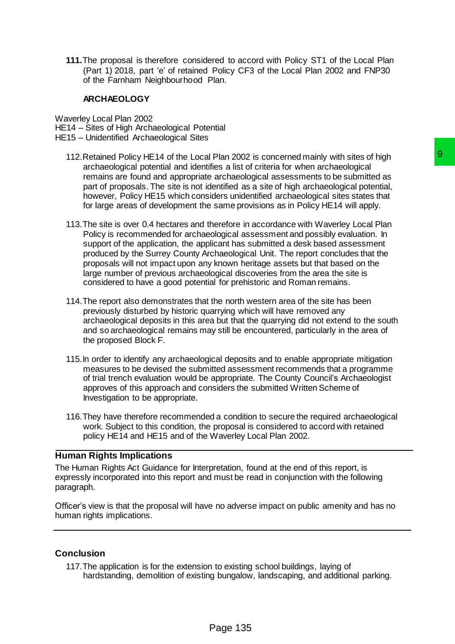**111.**The proposal is therefore considered to accord with Policy ST1 of the Local Plan (Part 1) 2018, part 'e' of retained Policy CF3 of the Local Plan 2002 and FNP30 of the Farnham Neighbourhood Plan.

#### **ARCHAEOLOGY**

Waverley Local Plan 2002

HE14 – Sites of High Archaeological Potential

- HE15 Unidentified Archaeological Sites
	- 112.Retained Policy HE14 of the Local Plan 2002 is concerned mainly with sites of high archaeological potential and identifies a list of criteria for when archaeological remains are found and appropriate archaeological assessments to be submitted as part of proposals. The site is not identified as a site of high archaeological potential, however, Policy HE15 which considers unidentified archaeological sites states that for large areas of development the same provisions as in Policy HE14 will apply.
	- 113.The site is over 0.4 hectares and therefore in accordance with Waverley Local Plan Policy is recommended for archaeological assessment and possibly evaluation. In support of the application, the applicant has submitted a desk based assessment produced by the Surrey County Archaeological Unit. The report concludes that the proposals will not impact upon any known heritage assets but that based on the large number of previous archaeological discoveries from the area the site is considered to have a good potential for prehistoric and Roman remains. I Plan 2002 is concerned mainly with sites of high<br>these a list of criteria for when archaeological assessments to be submitted as<br>a rachaeological assessments to be submitted as<br>a rachaeological assessments to be submitt
	- 114.The report also demonstrates that the north western area of the site has been previously disturbed by historic quarrying which will have removed any archaeological deposits in this area but that the quarrying did not extend to the south and so archaeological remains may still be encountered, particularly in the area of the proposed Block F.
	- 115.In order to identify any archaeological deposits and to enable appropriate mitigation measures to be devised the submitted assessment recommends that a programme of trial trench evaluation would be appropriate. The County Council's Archaeologist approves of this approach and considers the submitted Written Scheme of Investigation to be appropriate.
	- 116.They have therefore recommended a condition to secure the required archaeological work. Subject to this condition, the proposal is considered to accord with retained policy HE14 and HE15 and of the Waverley Local Plan 2002.

#### **Human Rights Implications**

The Human Rights Act Guidance for Interpretation, found at the end of this report, is expressly incorporated into this report and must be read in conjunction with the following paragraph.

Officer's view is that the proposal will have no adverse impact on public amenity and has no human rights implications.

### **Conclusion**

117.The application is for the extension to existing school buildings, laying of hardstanding, demolition of existing bungalow, landscaping, and additional parking.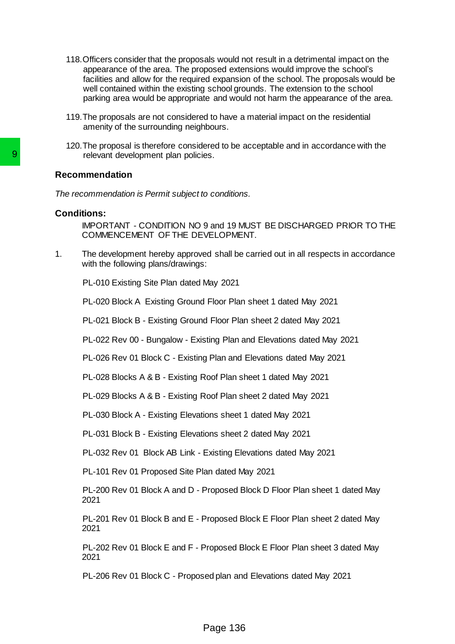- 118.Officers consider that the proposals would not result in a detrimental impact on the appearance of the area. The proposed extensions would improve the school's facilities and allow for the required expansion of the school. The proposals would be well contained within the existing school grounds. The extension to the school parking area would be appropriate and would not harm the appearance of the area.
- 119.The proposals are not considered to have a material impact on the residential amenity of the surrounding neighbours.
- 120.The proposal is therefore considered to be acceptable and in accordance with the relevant development plan policies.

### **Recommendation**

*The recommendation is Permit subject to conditions.*

### **Conditions:**

IMPORTANT - CONDITION NO 9 and 19 MUST BE DISCHARGED PRIOR TO THE COMMENCEMENT OF THE DEVELOPMENT.

1. The development hereby approved shall be carried out in all respects in accordance with the following plans/drawings: Frame development plan policies.<br>
Recommendation<br>
The recommendation is Permit subject to conditions<br>
Conditions:<br>
MMPORTANT - CONDITION NO 9 and 19 MB<br>
1. The development hereby approved shall be<br>
with the following plans

PL-010 Existing Site Plan dated May 2021

PL-020 Block A Existing Ground Floor Plan sheet 1 dated May 2021

PL-021 Block B - Existing Ground Floor Plan sheet 2 dated May 2021

PL-022 Rev 00 - Bungalow - Existing Plan and Elevations dated May 2021

PL-026 Rev 01 Block C - Existing Plan and Elevations dated May 2021

PL-028 Blocks A & B - Existing Roof Plan sheet 1 dated May 2021

PL-029 Blocks A & B - Existing Roof Plan sheet 2 dated May 2021

PL-030 Block A - Existing Elevations sheet 1 dated May 2021

PL-031 Block B - Existing Elevations sheet 2 dated May 2021

PL-032 Rev 01 Block AB Link - Existing Elevations dated May 2021

PL-101 Rev 01 Proposed Site Plan dated May 2021

PL-200 Rev 01 Block A and D - Proposed Block D Floor Plan sheet 1 dated May 2021

PL-201 Rev 01 Block B and E - Proposed Block E Floor Plan sheet 2 dated May 2021

PL-202 Rev 01 Block E and F - Proposed Block E Floor Plan sheet 3 dated May 2021

PL-206 Rev 01 Block C - Proposed plan and Elevations dated May 2021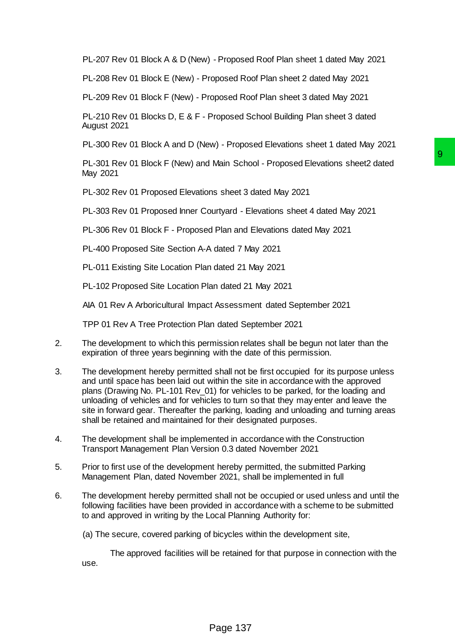PL-207 Rev 01 Block A & D (New) - Proposed Roof Plan sheet 1 dated May 2021

PL-208 Rev 01 Block E (New) - Proposed Roof Plan sheet 2 dated May 2021

PL-209 Rev 01 Block F (New) - Proposed Roof Plan sheet 3 dated May 2021

PL-210 Rev 01 Blocks D, E & F - Proposed School Building Plan sheet 3 dated August 2021

PL-300 Rev 01 Block A and D (New) - Proposed Elevations sheet 1 dated May 2021

PL-301 Rev 01 Block F (New) and Main School - Proposed Elevations sheet2 dated May 2021

PL-302 Rev 01 Proposed Elevations sheet 3 dated May 2021

PL-303 Rev 01 Proposed Inner Courtyard - Elevations sheet 4 dated May 2021

PL-306 Rev 01 Block F - Proposed Plan and Elevations dated May 2021

PL-400 Proposed Site Section A-A dated 7 May 2021

PL-011 Existing Site Location Plan dated 21 May 2021

PL-102 Proposed Site Location Plan dated 21 May 2021

AIA 01 Rev A Arboricultural Impact Assessment dated September 2021

TPP 01 Rev A Tree Protection Plan dated September 2021

- 2. The development to which this permission relates shall be begun not later than the expiration of three years beginning with the date of this permission.
- 3. The development hereby permitted shall not be first occupied for its purpose unless and until space has been laid out within the site in accordance with the approved plans (Drawing No. PL-101 Rev\_01) for vehicles to be parked, for the loading and unloading of vehicles and for vehicles to turn so that they may enter and leave the site in forward gear. Thereafter the parking, loading and unloading and turning areas shall be retained and maintained for their designated purposes. Main School - Proposed Elevations sheet2 dated<br>
9<br>
Ins sheet 3 dated May 2021<br>
survivard - Elevations sheet 4 dated May 2021<br>
Plan and Elevations sheet 4 dated May 2021<br>
dated 7 May 2021<br>
an dated 21 May 2021<br>
an dated 21
- 4. The development shall be implemented in accordance with the Construction Transport Management Plan Version 0.3 dated November 2021
- 5. Prior to first use of the development hereby permitted, the submitted Parking Management Plan, dated November 2021, shall be implemented in full
- 6. The development hereby permitted shall not be occupied or used unless and until the following facilities have been provided in accordance with a scheme to be submitted to and approved in writing by the Local Planning Authority for:
	- (a) The secure, covered parking of bicycles within the development site,

The approved facilities will be retained for that purpose in connection with the use.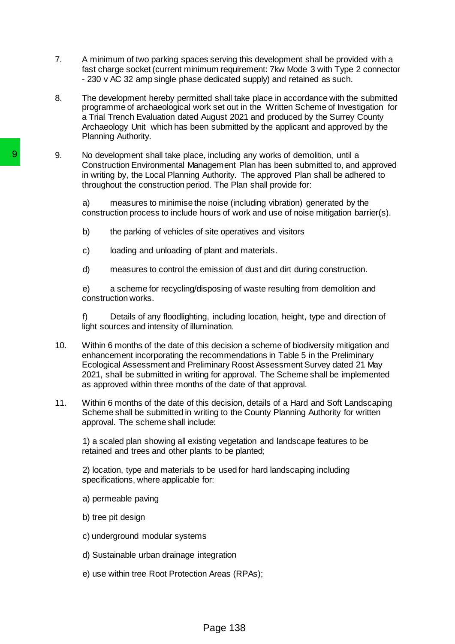- 7. A minimum of two parking spaces serving this development shall be provided with a fast charge socket (current minimum requirement: 7kw Mode 3 with Type 2 connector - 230 v AC 32 amp single phase dedicated supply) and retained as such.
- 8. The development hereby permitted shall take place in accordance with the submitted programme of archaeological work set out in the Written Scheme of Investigation for a Trial Trench Evaluation dated August 2021 and produced by the Surrey County Archaeology Unit which has been submitted by the applicant and approved by the Planning Authority.
- 9. No development shall take place, including any works of demolition, until a Construction Environmental Management Plan has been submitted to, and approved in writing by, the Local Planning Authority. The approved Plan shall be adhered to throughout the construction period. The Plan shall provide for:

a) measures to minimise the noise (including vibration) generated by the construction process to include hours of work and use of noise mitigation barrier(s).

- b) the parking of vehicles of site operatives and visitors
- c) loading and unloading of plant and materials.
- d) measures to control the emission of dust and dirt during construction.

e) a scheme for recycling/disposing of waste resulting from demolition and construction works.

f) Details of any floodlighting, including location, height, type and direction of light sources and intensity of illumination.

- 10. Within 6 months of the date of this decision a scheme of biodiversity mitigation and enhancement incorporating the recommendations in Table 5 in the Preliminary Ecological Assessment and Preliminary Roost Assessment Survey dated 21 May 2021, shall be submitted in writing for approval. The Scheme shall be implemented as approved within three months of the date of that approval. 9. No development shall take place, including the construction Environmental Management P<br>
in writing by, the Local Planning Authority. T<br>
throughout the construction period. The Plan<br>
a) measures to include hours of word<br>
	- 11. Within 6 months of the date of this decision, details of a Hard and Soft Landscaping Scheme shall be submitted in writing to the County Planning Authority for written approval. The scheme shall include:

1) a scaled plan showing all existing vegetation and landscape features to be retained and trees and other plants to be planted;

2) location, type and materials to be used for hard landscaping including specifications, where applicable for:

- a) permeable paving
- b) tree pit design
- c) underground modular systems
- d) Sustainable urban drainage integration
- e) use within tree Root Protection Areas (RPAs);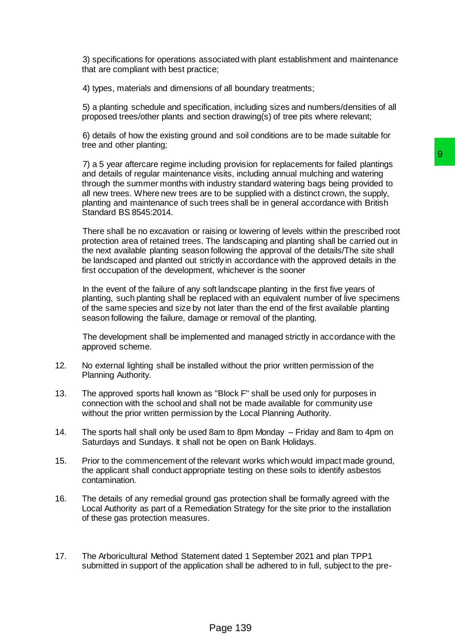3) specifications for operations associated with plant establishment and maintenance that are compliant with best practice;

4) types, materials and dimensions of all boundary treatments;

5) a planting schedule and specification, including sizes and numbers/densities of all proposed trees/other plants and section drawing(s) of tree pits where relevant;

6) details of how the existing ground and soil conditions are to be made suitable for tree and other planting;

7) a 5 year aftercare regime including provision for replacements for failed plantings and details of regular maintenance visits, including annual mulching and watering through the summer months with industry standard watering bags being provided to all new trees. Where new trees are to be supplied with a distinct crown, the supply, planting and maintenance of such trees shall be in general accordance with British Standard BS 8545:2014. ling provision for replacements for failed plantings<br>
9 vistis, including annual mulching and watering<br>
ordustry, standard watering bags being provided to<br>
to be supplied with a distinct crown, the supply,<br>
trees shall be

There shall be no excavation or raising or lowering of levels within the prescribed root protection area of retained trees. The landscaping and planting shall be carried out in the next available planting season following the approval of the details/The site shall be landscaped and planted out strictly in accordance with the approved details in the first occupation of the development, whichever is the sooner

In the event of the failure of any soft landscape planting in the first five years of planting, such planting shall be replaced with an equivalent number of live specimens of the same species and size by not later than the end of the first available planting season following the failure, damage or removal of the planting.

The development shall be implemented and managed strictly in accordance with the approved scheme.

- 12. No external lighting shall be installed without the prior written permission of the Planning Authority.
- 13. The approved sports hall known as "Block F" shall be used only for purposes in connection with the school and shall not be made available for community use without the prior written permission by the Local Planning Authority.
- 14. The sports hall shall only be used 8am to 8pm Monday Friday and 8am to 4pm on Saturdays and Sundays. It shall not be open on Bank Holidays.
- 15. Prior to the commencement of the relevant works which would impact made ground, the applicant shall conduct appropriate testing on these soils to identify asbestos contamination.
- 16. The details of any remedial ground gas protection shall be formally agreed with the Local Authority as part of a Remediation Strategy for the site prior to the installation of these gas protection measures.
- 17. The Arboricultural Method Statement dated 1 September 2021 and plan TPP1 submitted in support of the application shall be adhered to in full, subject to the pre-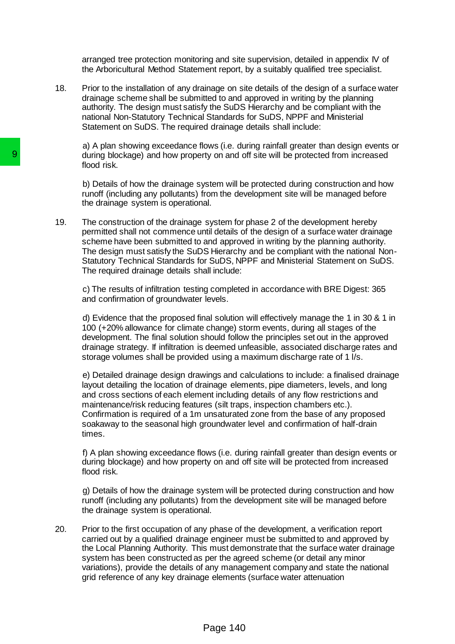arranged tree protection monitoring and site supervision, detailed in appendix IV of the Arboricultural Method Statement report, by a suitably qualified tree specialist.

18. Prior to the installation of any drainage on site details of the design of a surface water drainage scheme shall be submitted to and approved in writing by the planning authority. The design must satisfy the SuDS Hierarchy and be compliant with the national Non-Statutory Technical Standards for SuDS, NPPF and Ministerial Statement on SuDS. The required drainage details shall include:

a) A plan showing exceedance flows (i.e. during rainfall greater than design events or during blockage) and how property on and off site will be protected from increased flood risk.

b) Details of how the drainage system will be protected during construction and how runoff (including any pollutants) from the development site will be managed before the drainage system is operational.

19. The construction of the drainage system for phase 2 of the development hereby permitted shall not commence until details of the design of a surface water drainage scheme have been submitted to and approved in writing by the planning authority. The design must satisfy the SuDS Hierarchy and be compliant with the national Non-Statutory Technical Standards for SuDS, NPPF and Ministerial Statement on SuDS. The required drainage details shall include: **9**<br>
droing blockage) and how property on and c<br>
flood risk.<br>
b) Details of how the drainage system will b<br>
punoff (including any pollulants) from the det<br>
the drainage system is operational.<br>
19. Details of how the draina

c) The results of infiltration testing completed in accordance with BRE Digest: 365 and confirmation of groundwater levels.

d) Evidence that the proposed final solution will effectively manage the 1 in 30 & 1 in 100 (+20% allowance for climate change) storm events, during all stages of the development. The final solution should follow the principles set out in the approved drainage strategy. If infiltration is deemed unfeasible, associated discharge rates and storage volumes shall be provided using a maximum discharge rate of 1 l/s.

e) Detailed drainage design drawings and calculations to include: a finalised drainage layout detailing the location of drainage elements, pipe diameters, levels, and long and cross sections of each element including details of any flow restrictions and maintenance/risk reducing features (silt traps, inspection chambers etc.). Confirmation is required of a 1m unsaturated zone from the base of any proposed soakaway to the seasonal high groundwater level and confirmation of half-drain times.

f) A plan showing exceedance flows (i.e. during rainfall greater than design events or during blockage) and how property on and off site will be protected from increased flood risk.

g) Details of how the drainage system will be protected during construction and how runoff (including any pollutants) from the development site will be managed before the drainage system is operational.

20. Prior to the first occupation of any phase of the development, a verification report carried out by a qualified drainage engineer must be submitted to and approved by the Local Planning Authority. This must demonstrate that the surface water drainage system has been constructed as per the agreed scheme (or detail any minor variations), provide the details of any management company and state the national grid reference of any key drainage elements (surface water attenuation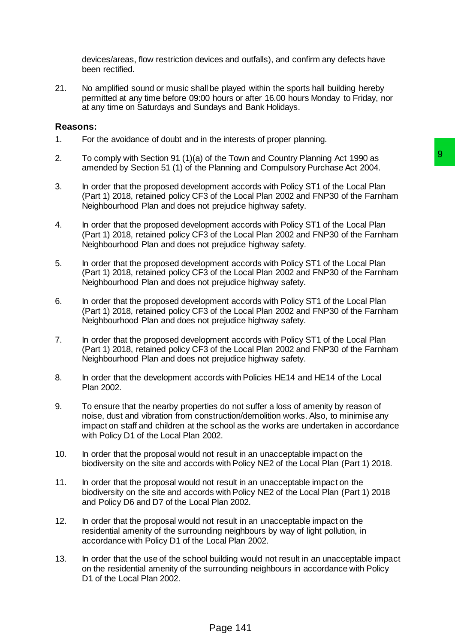devices/areas, flow restriction devices and outfalls), and confirm any defects have been rectified.

21. No amplified sound or music shall be played within the sports hall building hereby permitted at any time before 09:00 hours or after 16.00 hours Monday to Friday, nor at any time on Saturdays and Sundays and Bank Holidays.

### **Reasons:**

- 1. For the avoidance of doubt and in the interests of proper planning.
- 2. To comply with Section 91 (1)(a) of the Town and Country Planning Act 1990 as amended by Section 51 (1) of the Planning and Compulsory Purchase Act 2004.
- 3. In order that the proposed development accords with Policy ST1 of the Local Plan (Part 1) 2018, retained policy CF3 of the Local Plan 2002 and FNP30 of the Farnham Neighbourhood Plan and does not prejudice highway safety.
- 4. In order that the proposed development accords with Policy ST1 of the Local Plan (Part 1) 2018, retained policy CF3 of the Local Plan 2002 and FNP30 of the Farnham Neighbourhood Plan and does not prejudice highway safety.
- 5. In order that the proposed development accords with Policy ST1 of the Local Plan (Part 1) 2018, retained policy CF3 of the Local Plan 2002 and FNP30 of the Farnham Neighbourhood Plan and does not prejudice highway safety.
- 6. In order that the proposed development accords with Policy ST1 of the Local Plan (Part 1) 2018, retained policy CF3 of the Local Plan 2002 and FNP30 of the Farnham Neighbourhood Plan and does not prejudice highway safety.
- 7. In order that the proposed development accords with Policy ST1 of the Local Plan (Part 1) 2018, retained policy CF3 of the Local Plan 2002 and FNP30 of the Farnham Neighbourhood Plan and does not prejudice highway safety.
- 8. In order that the development accords with Policies HE14 and HE14 of the Local Plan 2002.
- 9. To ensure that the nearby properties do not suffer a loss of amenity by reason of noise, dust and vibration from construction/demolition works. Also, to minimise any impact on staff and children at the school as the works are undertaken in accordance with Policy D1 of the Local Plan 2002. f the Town and Country Planning Act 1990 as<br>
Planning and Compulsory Purchase Act 2004.<br>
memet accords with Policy ST1 of the Local Plan<br>
of the Local Plan 2002 and FNP30 of the Farnham<br>
prejudice highway safety.<br>
of the L
- 10. In order that the proposal would not result in an unacceptable impact on the biodiversity on the site and accords with Policy NE2 of the Local Plan (Part 1) 2018.
- 11. In order that the proposal would not result in an unacceptable impact on the biodiversity on the site and accords with Policy NE2 of the Local Plan (Part 1) 2018 and Policy D6 and D7 of the Local Plan 2002.
- 12. In order that the proposal would not result in an unacceptable impact on the residential amenity of the surrounding neighbours by way of light pollution, in accordance with Policy D1 of the Local Plan 2002.
- 13. In order that the use of the school building would not result in an unacceptable impact on the residential amenity of the surrounding neighbours in accordance with Policy D<sub>1</sub> of the Local Plan 2002.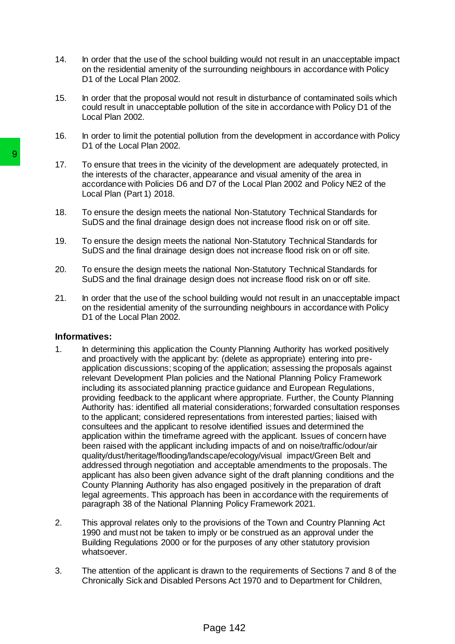- 14. In order that the use of the school building would not result in an unacceptable impact on the residential amenity of the surrounding neighbours in accordance with Policy D1 of the Local Plan 2002.
- 15. In order that the proposal would not result in disturbance of contaminated soils which could result in unacceptable pollution of the site in accordance with Policy D1 of the Local Plan 2002.
- 16. In order to limit the potential pollution from the development in accordance with Policy D1 of the Local Plan 2002.
- 17. To ensure that trees in the vicinity of the development are adequately protected, in the interests of the character, appearance and visual amenity of the area in accordance with Policies D6 and D7 of the Local Plan 2002 and Policy NE2 of the Local Plan (Part 1) 2018.
- 18. To ensure the design meets the national Non-Statutory Technical Standards for SuDS and the final drainage design does not increase flood risk on or off site.
- 19. To ensure the design meets the national Non-Statutory Technical Standards for SuDS and the final drainage design does not increase flood risk on or off site.
- 20. To ensure the design meets the national Non-Statutory Technical Standards for SuDS and the final drainage design does not increase flood risk on or off site.
- 21. In order that the use of the school building would not result in an unacceptable impact on the residential amenity of the surrounding neighbours in accordance with Policy D<sub>1</sub> of the Local Plan 2002.

#### **Informatives:**

- 1. In determining this application the County Planning Authority has worked positively and proactively with the applicant by: (delete as appropriate) entering into preapplication discussions; scoping of the application; assessing the proposals against relevant Development Plan policies and the National Planning Policy Framework including its associated planning practice guidance and European Regulations, providing feedback to the applicant where appropriate. Further, the County Planning Authority has: identified all material considerations; forwarded consultation responses to the applicant; considered representations from interested parties; liaised with consultees and the applicant to resolve identified issues and determined the application within the timeframe agreed with the applicant. Issues of concern have been raised with the applicant including impacts of and on noise/traffic/odour/air quality/dust/heritage/flooding/landscape/ecology/visual impact/Green Belt and addressed through negotiation and acceptable amendments to the proposals. The applicant has also been given advance sight of the draft planning conditions and the County Planning Authority has also engaged positively in the preparation of draft legal agreements. This approach has been in accordance with the requirements of paragraph 38 of the National Planning Policy Framework 2021. 17. To ensure that trees in the vicinity of the deventments of the character, appearance a<br>
eccordance with Policies D6 and D7 of the 1<br>
cocardance with Policies D6 and D7 of the 1<br>
Local Plan (Part 1) 2018.<br>
18. To ensure
	- 2. This approval relates only to the provisions of the Town and Country Planning Act 1990 and must not be taken to imply or be construed as an approval under the Building Regulations 2000 or for the purposes of any other statutory provision whatsoever.
	- 3. The attention of the applicant is drawn to the requirements of Sections 7 and 8 of the Chronically Sick and Disabled Persons Act 1970 and to Department for Children,